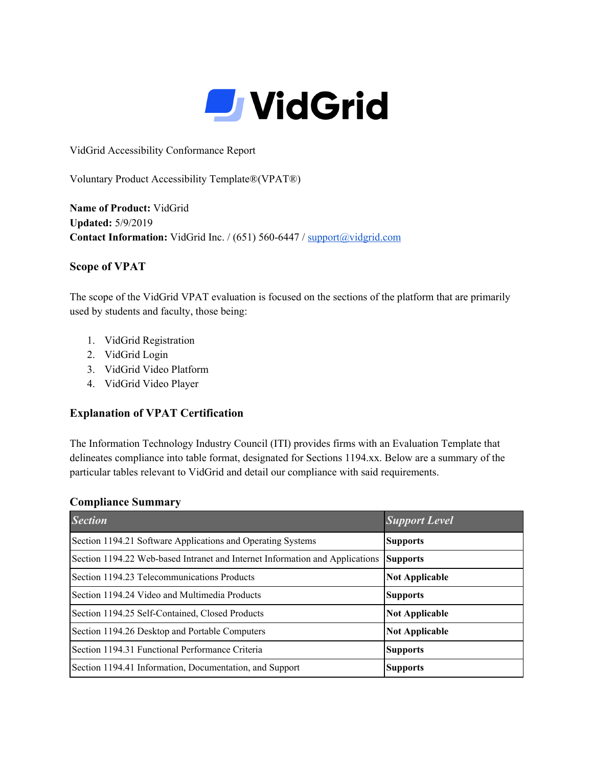

VidGrid Accessibility Conformance Report

Voluntary Product Accessibility Template®(VPAT®)

**Name of Product:** VidGrid **Updated:** 5/9/2019 **Contact Information:** VidGrid Inc. / (651) 560-6447 / [support@vidgrid.com](mailto:support@vidgrid.com)

### **Scope of VPAT**

The scope of the VidGrid VPAT evaluation is focused on the sections of the platform that are primarily used by students and faculty, those being:

- 1. VidGrid Registration
- 2. VidGrid Login
- 3. VidGrid Video Platform
- 4. VidGrid Video Player

#### **Explanation of VPAT Certification**

The Information Technology Industry Council (ITI) provides firms with an Evaluation Template that delineates compliance into table format, designated for Sections 1194.xx. Below are a summary of the particular tables relevant to VidGrid and detail our compliance with said requirements.

#### **Compliance Summary**

| <b>Section</b>                                                               | <b>Support Level</b>  |
|------------------------------------------------------------------------------|-----------------------|
| Section 1194.21 Software Applications and Operating Systems                  | <b>Supports</b>       |
| Section 1194.22 Web-based Intranet and Internet Information and Applications | <b>Supports</b>       |
| Section 1194.23 Telecommunications Products                                  | <b>Not Applicable</b> |
| Section 1194.24 Video and Multimedia Products                                | <b>Supports</b>       |
| Section 1194.25 Self-Contained, Closed Products                              | <b>Not Applicable</b> |
| Section 1194.26 Desktop and Portable Computers                               | <b>Not Applicable</b> |
| Section 1194.31 Functional Performance Criteria                              | <b>Supports</b>       |
| Section 1194.41 Information, Documentation, and Support                      | <b>Supports</b>       |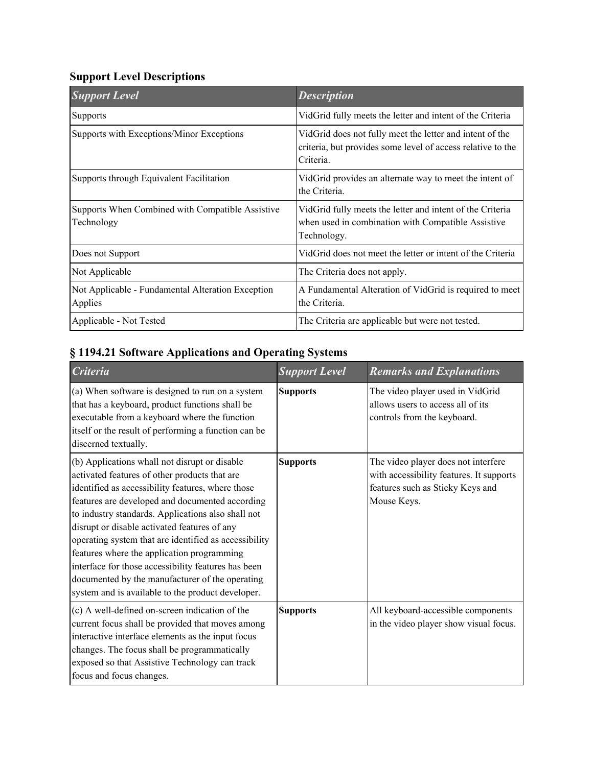## **Support Level Descriptions**

| <b>Support Level</b>                                           | <b>Description</b>                                                                                                                   |
|----------------------------------------------------------------|--------------------------------------------------------------------------------------------------------------------------------------|
| <b>Supports</b>                                                | VidGrid fully meets the letter and intent of the Criteria                                                                            |
| Supports with Exceptions/Minor Exceptions                      | VidGrid does not fully meet the letter and intent of the<br>criteria, but provides some level of access relative to the<br>Criteria. |
| Supports through Equivalent Facilitation                       | VidGrid provides an alternate way to meet the intent of<br>the Criteria.                                                             |
| Supports When Combined with Compatible Assistive<br>Technology | VidGrid fully meets the letter and intent of the Criteria<br>when used in combination with Compatible Assistive<br>Technology.       |
| Does not Support                                               | VidGrid does not meet the letter or intent of the Criteria                                                                           |
| Not Applicable                                                 | The Criteria does not apply.                                                                                                         |
| Not Applicable - Fundamental Alteration Exception<br>Applies   | A Fundamental Alteration of VidGrid is required to meet<br>the Criteria.                                                             |
| Applicable - Not Tested                                        | The Criteria are applicable but were not tested.                                                                                     |

# **§ 1194.21 Software Applications and Operating Systems**

| <b>Criteria</b>                                                                                                                                                                                                                                                                                                                                                                                                                                                                                                                                                                    | <b>Support Level</b> | <b>Remarks and Explanations</b>                                                                                                    |
|------------------------------------------------------------------------------------------------------------------------------------------------------------------------------------------------------------------------------------------------------------------------------------------------------------------------------------------------------------------------------------------------------------------------------------------------------------------------------------------------------------------------------------------------------------------------------------|----------------------|------------------------------------------------------------------------------------------------------------------------------------|
| (a) When software is designed to run on a system<br>that has a keyboard, product functions shall be<br>executable from a keyboard where the function<br>itself or the result of performing a function can be<br>discerned textually.                                                                                                                                                                                                                                                                                                                                               | <b>Supports</b>      | The video player used in VidGrid<br>allows users to access all of its<br>controls from the keyboard.                               |
| (b) Applications whall not disrupt or disable<br>activated features of other products that are<br>identified as accessibility features, where those<br>features are developed and documented according<br>to industry standards. Applications also shall not<br>disrupt or disable activated features of any<br>operating system that are identified as accessibility<br>features where the application programming<br>interface for those accessibility features has been<br>documented by the manufacturer of the operating<br>system and is available to the product developer. | <b>Supports</b>      | The video player does not interfere<br>with accessibility features. It supports<br>features such as Sticky Keys and<br>Mouse Keys. |
| (c) A well-defined on-screen indication of the<br>current focus shall be provided that moves among<br>interactive interface elements as the input focus<br>changes. The focus shall be programmatically<br>exposed so that Assistive Technology can track<br>focus and focus changes.                                                                                                                                                                                                                                                                                              | <b>Supports</b>      | All keyboard-accessible components<br>in the video player show visual focus.                                                       |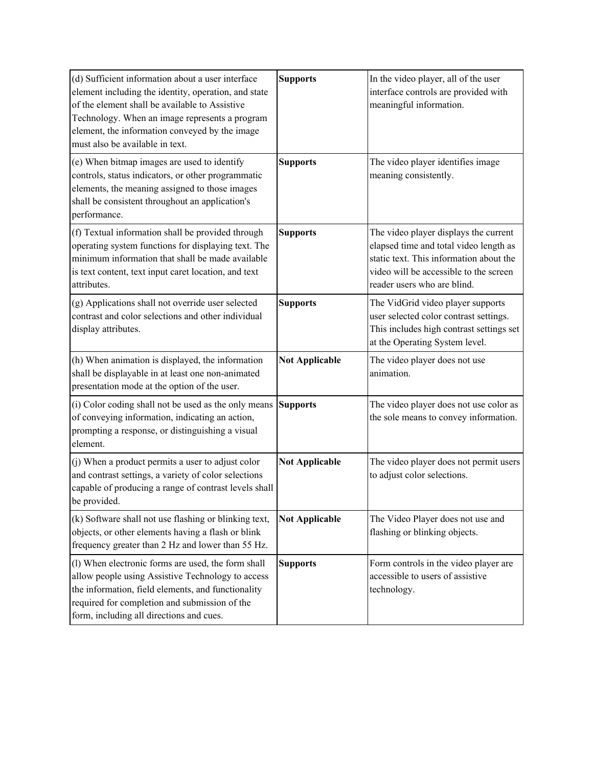| (d) Sufficient information about a user interface<br>element including the identity, operation, and state<br>of the element shall be available to Assistive<br>Technology. When an image represents a program<br>element, the information conveyed by the image<br>must also be available in text. | <b>Supports</b>       | In the video player, all of the user<br>interface controls are provided with<br>meaningful information.                                                                                             |
|----------------------------------------------------------------------------------------------------------------------------------------------------------------------------------------------------------------------------------------------------------------------------------------------------|-----------------------|-----------------------------------------------------------------------------------------------------------------------------------------------------------------------------------------------------|
| (e) When bitmap images are used to identify<br>controls, status indicators, or other programmatic<br>elements, the meaning assigned to those images<br>shall be consistent throughout an application's<br>performance.                                                                             | <b>Supports</b>       | The video player identifies image<br>meaning consistently.                                                                                                                                          |
| (f) Textual information shall be provided through<br>operating system functions for displaying text. The<br>minimum information that shall be made available<br>is text content, text input caret location, and text<br>attributes.                                                                | <b>Supports</b>       | The video player displays the current<br>elapsed time and total video length as<br>static text. This information about the<br>video will be accessible to the screen<br>reader users who are blind. |
| (g) Applications shall not override user selected<br>contrast and color selections and other individual<br>display attributes.                                                                                                                                                                     | <b>Supports</b>       | The VidGrid video player supports<br>user selected color contrast settings.<br>This includes high contrast settings set<br>at the Operating System level.                                           |
| (h) When animation is displayed, the information<br>shall be displayable in at least one non-animated<br>presentation mode at the option of the user.                                                                                                                                              | <b>Not Applicable</b> | The video player does not use<br>animation.                                                                                                                                                         |
| (i) Color coding shall not be used as the only means<br>of conveying information, indicating an action,<br>prompting a response, or distinguishing a visual<br>element.                                                                                                                            | <b>Supports</b>       | The video player does not use color as<br>the sole means to convey information.                                                                                                                     |
| (j) When a product permits a user to adjust color<br>and contrast settings, a variety of color selections<br>capable of producing a range of contrast levels shall<br>be provided.                                                                                                                 | <b>Not Applicable</b> | The video player does not permit users<br>to adjust color selections.                                                                                                                               |
| (k) Software shall not use flashing or blinking text,<br>objects, or other elements having a flash or blink<br>frequency greater than 2 Hz and lower than 55 Hz.                                                                                                                                   | <b>Not Applicable</b> | The Video Player does not use and<br>flashing or blinking objects.                                                                                                                                  |
| (1) When electronic forms are used, the form shall<br>allow people using Assistive Technology to access<br>the information, field elements, and functionality<br>required for completion and submission of the<br>form, including all directions and cues.                                         | <b>Supports</b>       | Form controls in the video player are<br>accessible to users of assistive<br>technology.                                                                                                            |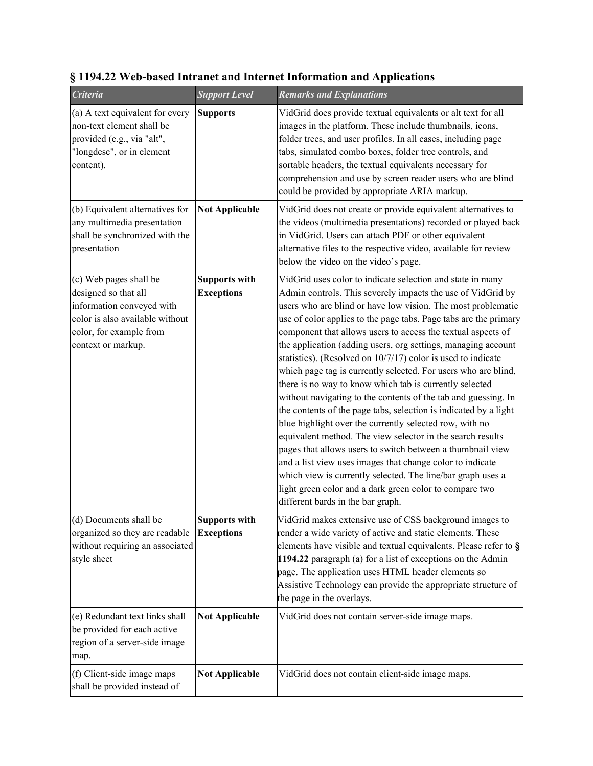| <b>Criteria</b>                                                                                                                                                 | <b>Support Level</b>                      | <b>Remarks and Explanations</b>                                                                                                                                                                                                                                                                                                                                                                                                                                                                                                                                                                                                                                                                                                                                                                                                                                                                                                                                                                                                                                                                                                                      |
|-----------------------------------------------------------------------------------------------------------------------------------------------------------------|-------------------------------------------|------------------------------------------------------------------------------------------------------------------------------------------------------------------------------------------------------------------------------------------------------------------------------------------------------------------------------------------------------------------------------------------------------------------------------------------------------------------------------------------------------------------------------------------------------------------------------------------------------------------------------------------------------------------------------------------------------------------------------------------------------------------------------------------------------------------------------------------------------------------------------------------------------------------------------------------------------------------------------------------------------------------------------------------------------------------------------------------------------------------------------------------------------|
| (a) A text equivalent for every<br>non-text element shall be<br>provided (e.g., via "alt",<br>"longdesc", or in element<br>content).                            | <b>Supports</b>                           | VidGrid does provide textual equivalents or alt text for all<br>images in the platform. These include thumbnails, icons,<br>folder trees, and user profiles. In all cases, including page<br>tabs, simulated combo boxes, folder tree controls, and<br>sortable headers, the textual equivalents necessary for<br>comprehension and use by screen reader users who are blind<br>could be provided by appropriate ARIA markup.                                                                                                                                                                                                                                                                                                                                                                                                                                                                                                                                                                                                                                                                                                                        |
| (b) Equivalent alternatives for<br>any multimedia presentation<br>shall be synchronized with the<br>presentation                                                | <b>Not Applicable</b>                     | VidGrid does not create or provide equivalent alternatives to<br>the videos (multimedia presentations) recorded or played back<br>in VidGrid. Users can attach PDF or other equivalent<br>alternative files to the respective video, available for review<br>below the video on the video's page.                                                                                                                                                                                                                                                                                                                                                                                                                                                                                                                                                                                                                                                                                                                                                                                                                                                    |
| (c) Web pages shall be<br>designed so that all<br>information conveyed with<br>color is also available without<br>color, for example from<br>context or markup. | <b>Supports with</b><br><b>Exceptions</b> | VidGrid uses color to indicate selection and state in many<br>Admin controls. This severely impacts the use of VidGrid by<br>users who are blind or have low vision. The most problematic<br>use of color applies to the page tabs. Page tabs are the primary<br>component that allows users to access the textual aspects of<br>the application (adding users, org settings, managing account<br>statistics). (Resolved on 10/7/17) color is used to indicate<br>which page tag is currently selected. For users who are blind,<br>there is no way to know which tab is currently selected<br>without navigating to the contents of the tab and guessing. In<br>the contents of the page tabs, selection is indicated by a light<br>blue highlight over the currently selected row, with no<br>equivalent method. The view selector in the search results<br>pages that allows users to switch between a thumbnail view<br>and a list view uses images that change color to indicate<br>which view is currently selected. The line/bar graph uses a<br>light green color and a dark green color to compare two<br>different bards in the bar graph. |
| (d) Documents shall be<br>organized so they are readable<br>without requiring an associated<br>style sheet                                                      | <b>Supports with</b><br><b>Exceptions</b> | VidGrid makes extensive use of CSS background images to<br>render a wide variety of active and static elements. These<br>elements have visible and textual equivalents. Please refer to §<br>1194.22 paragraph (a) for a list of exceptions on the Admin<br>page. The application uses HTML header elements so<br>Assistive Technology can provide the appropriate structure of<br>the page in the overlays.                                                                                                                                                                                                                                                                                                                                                                                                                                                                                                                                                                                                                                                                                                                                         |
| (e) Redundant text links shall<br>be provided for each active<br>region of a server-side image<br>map.                                                          | <b>Not Applicable</b>                     | VidGrid does not contain server-side image maps.                                                                                                                                                                                                                                                                                                                                                                                                                                                                                                                                                                                                                                                                                                                                                                                                                                                                                                                                                                                                                                                                                                     |
| (f) Client-side image maps<br>shall be provided instead of                                                                                                      | <b>Not Applicable</b>                     | VidGrid does not contain client-side image maps.                                                                                                                                                                                                                                                                                                                                                                                                                                                                                                                                                                                                                                                                                                                                                                                                                                                                                                                                                                                                                                                                                                     |

## **§ 1194.22 Web-based Intranet and Internet Information and Applications**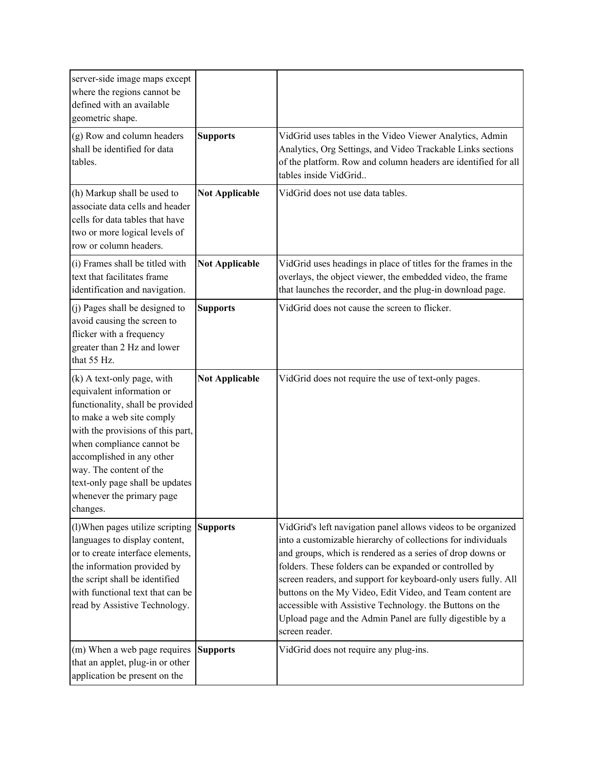| server-side image maps except<br>where the regions cannot be<br>defined with an available<br>geometric shape.                                                                                                                                                                                                                  |                       |                                                                                                                                                                                                                                                                                                                                                                                                                                                                                                                                  |
|--------------------------------------------------------------------------------------------------------------------------------------------------------------------------------------------------------------------------------------------------------------------------------------------------------------------------------|-----------------------|----------------------------------------------------------------------------------------------------------------------------------------------------------------------------------------------------------------------------------------------------------------------------------------------------------------------------------------------------------------------------------------------------------------------------------------------------------------------------------------------------------------------------------|
| (g) Row and column headers<br>shall be identified for data<br>tables.                                                                                                                                                                                                                                                          | <b>Supports</b>       | VidGrid uses tables in the Video Viewer Analytics, Admin<br>Analytics, Org Settings, and Video Trackable Links sections<br>of the platform. Row and column headers are identified for all<br>tables inside VidGrid                                                                                                                                                                                                                                                                                                               |
| (h) Markup shall be used to<br>associate data cells and header<br>cells for data tables that have<br>two or more logical levels of<br>row or column headers.                                                                                                                                                                   | <b>Not Applicable</b> | VidGrid does not use data tables.                                                                                                                                                                                                                                                                                                                                                                                                                                                                                                |
| (i) Frames shall be titled with<br>text that facilitates frame<br>identification and navigation.                                                                                                                                                                                                                               | <b>Not Applicable</b> | VidGrid uses headings in place of titles for the frames in the<br>overlays, the object viewer, the embedded video, the frame<br>that launches the recorder, and the plug-in download page.                                                                                                                                                                                                                                                                                                                                       |
| (j) Pages shall be designed to<br>avoid causing the screen to<br>flicker with a frequency<br>greater than 2 Hz and lower<br>that 55 Hz.                                                                                                                                                                                        | <b>Supports</b>       | VidGrid does not cause the screen to flicker.                                                                                                                                                                                                                                                                                                                                                                                                                                                                                    |
| (k) A text-only page, with<br>equivalent information or<br>functionality, shall be provided<br>to make a web site comply<br>with the provisions of this part,<br>when compliance cannot be<br>accomplished in any other<br>way. The content of the<br>text-only page shall be updates<br>whenever the primary page<br>changes. | <b>Not Applicable</b> | VidGrid does not require the use of text-only pages.                                                                                                                                                                                                                                                                                                                                                                                                                                                                             |
| (l) When pages utilize scripting<br>languages to display content,<br>or to create interface elements,<br>the information provided by<br>the script shall be identified<br>with functional text that can be<br>read by Assistive Technology.                                                                                    | <b>Supports</b>       | VidGrid's left navigation panel allows videos to be organized<br>into a customizable hierarchy of collections for individuals<br>and groups, which is rendered as a series of drop downs or<br>folders. These folders can be expanded or controlled by<br>screen readers, and support for keyboard-only users fully. All<br>buttons on the My Video, Edit Video, and Team content are<br>accessible with Assistive Technology. the Buttons on the<br>Upload page and the Admin Panel are fully digestible by a<br>screen reader. |
| (m) When a web page requires<br>that an applet, plug-in or other<br>application be present on the                                                                                                                                                                                                                              | <b>Supports</b>       | VidGrid does not require any plug-ins.                                                                                                                                                                                                                                                                                                                                                                                                                                                                                           |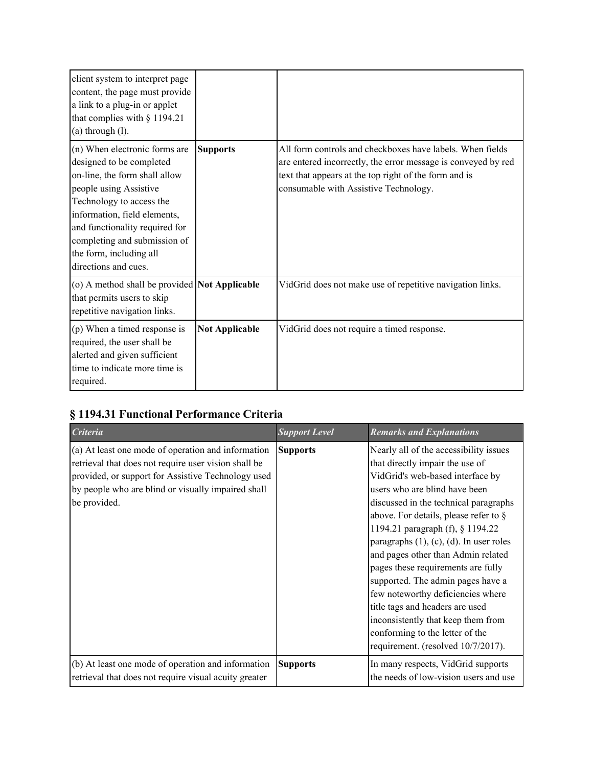| client system to interpret page<br>content, the page must provide<br>a link to a plug-in or applet<br>that complies with $§$ 1194.21<br>$(a)$ through $(l)$ .                                                                                                                                         |                       |                                                                                                                                                                                                                              |
|-------------------------------------------------------------------------------------------------------------------------------------------------------------------------------------------------------------------------------------------------------------------------------------------------------|-----------------------|------------------------------------------------------------------------------------------------------------------------------------------------------------------------------------------------------------------------------|
| (n) When electronic forms are<br>designed to be completed<br>on-line, the form shall allow<br>people using Assistive<br>Technology to access the<br>information, field elements,<br>and functionality required for<br>completing and submission of<br>the form, including all<br>directions and cues. | <b>Supports</b>       | All form controls and checkboxes have labels. When fields<br>are entered incorrectly, the error message is conveyed by red<br>text that appears at the top right of the form and is<br>consumable with Assistive Technology. |
| (o) A method shall be provided <b>Not Applicable</b><br>that permits users to skip<br>repetitive navigation links.                                                                                                                                                                                    |                       | VidGrid does not make use of repetitive navigation links.                                                                                                                                                                    |
| (p) When a timed response is<br>required, the user shall be<br>alerted and given sufficient<br>time to indicate more time is<br>required.                                                                                                                                                             | <b>Not Applicable</b> | VidGrid does not require a timed response.                                                                                                                                                                                   |

# **§ 1194.31 Functional Performance Criteria**

| <b>Criteria</b>                                                                                                                                                                                                                        | <b>Support Level</b> | <b>Remarks and Explanations</b>                                                                                                                                                                                                                                                                                                                                                                                                                                                                                                                                                                                            |
|----------------------------------------------------------------------------------------------------------------------------------------------------------------------------------------------------------------------------------------|----------------------|----------------------------------------------------------------------------------------------------------------------------------------------------------------------------------------------------------------------------------------------------------------------------------------------------------------------------------------------------------------------------------------------------------------------------------------------------------------------------------------------------------------------------------------------------------------------------------------------------------------------------|
| (a) At least one mode of operation and information<br>retrieval that does not require user vision shall be<br>provided, or support for Assistive Technology used<br>by people who are blind or visually impaired shall<br>be provided. | <b>Supports</b>      | Nearly all of the accessibility issues<br>that directly impair the use of<br>VidGrid's web-based interface by<br>users who are blind have been<br>discussed in the technical paragraphs<br>above. For details, please refer to $\S$<br>1194.21 paragraph (f), § 1194.22<br>paragraphs (1), (c), (d). In user roles<br>and pages other than Admin related<br>pages these requirements are fully<br>supported. The admin pages have a<br>few noteworthy deficiencies where<br>title tags and headers are used<br>inconsistently that keep them from<br>conforming to the letter of the<br>requirement. (resolved 10/7/2017). |
| (b) At least one mode of operation and information<br>retrieval that does not require visual acuity greater                                                                                                                            | <b>Supports</b>      | In many respects, VidGrid supports<br>the needs of low-vision users and use                                                                                                                                                                                                                                                                                                                                                                                                                                                                                                                                                |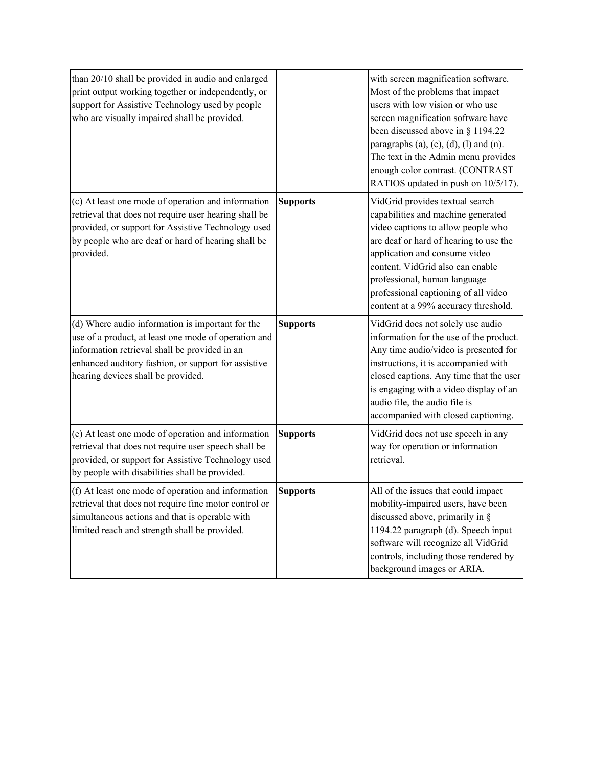| than 20/10 shall be provided in audio and enlarged<br>print output working together or independently, or<br>support for Assistive Technology used by people<br>who are visually impaired shall be provided.                                            |                 | with screen magnification software.<br>Most of the problems that impact<br>users with low vision or who use<br>screen magnification software have<br>been discussed above in § 1194.22<br>paragraphs $(a)$ , $(c)$ , $(d)$ , $(l)$ and $(n)$ .<br>The text in the Admin menu provides<br>enough color contrast. (CONTRAST<br>RATIOS updated in push on 10/5/17). |
|--------------------------------------------------------------------------------------------------------------------------------------------------------------------------------------------------------------------------------------------------------|-----------------|------------------------------------------------------------------------------------------------------------------------------------------------------------------------------------------------------------------------------------------------------------------------------------------------------------------------------------------------------------------|
| (c) At least one mode of operation and information<br>retrieval that does not require user hearing shall be<br>provided, or support for Assistive Technology used<br>by people who are deaf or hard of hearing shall be<br>provided.                   | <b>Supports</b> | VidGrid provides textual search<br>capabilities and machine generated<br>video captions to allow people who<br>are deaf or hard of hearing to use the<br>application and consume video<br>content. VidGrid also can enable<br>professional, human language<br>professional captioning of all video<br>content at a 99% accuracy threshold.                       |
| (d) Where audio information is important for the<br>use of a product, at least one mode of operation and<br>information retrieval shall be provided in an<br>enhanced auditory fashion, or support for assistive<br>hearing devices shall be provided. | <b>Supports</b> | VidGrid does not solely use audio<br>information for the use of the product.<br>Any time audio/video is presented for<br>instructions, it is accompanied with<br>closed captions. Any time that the user<br>is engaging with a video display of an<br>audio file, the audio file is<br>accompanied with closed captioning.                                       |
| (e) At least one mode of operation and information<br>retrieval that does not require user speech shall be<br>provided, or support for Assistive Technology used<br>by people with disabilities shall be provided.                                     | <b>Supports</b> | VidGrid does not use speech in any<br>way for operation or information<br>retrieval.                                                                                                                                                                                                                                                                             |
| (f) At least one mode of operation and information<br>retrieval that does not require fine motor control or<br>simultaneous actions and that is operable with<br>limited reach and strength shall be provided.                                         | <b>Supports</b> | All of the issues that could impact<br>mobility-impaired users, have been<br>discussed above, primarily in $\S$<br>1194.22 paragraph (d). Speech input<br>software will recognize all VidGrid<br>controls, including those rendered by<br>background images or ARIA.                                                                                             |